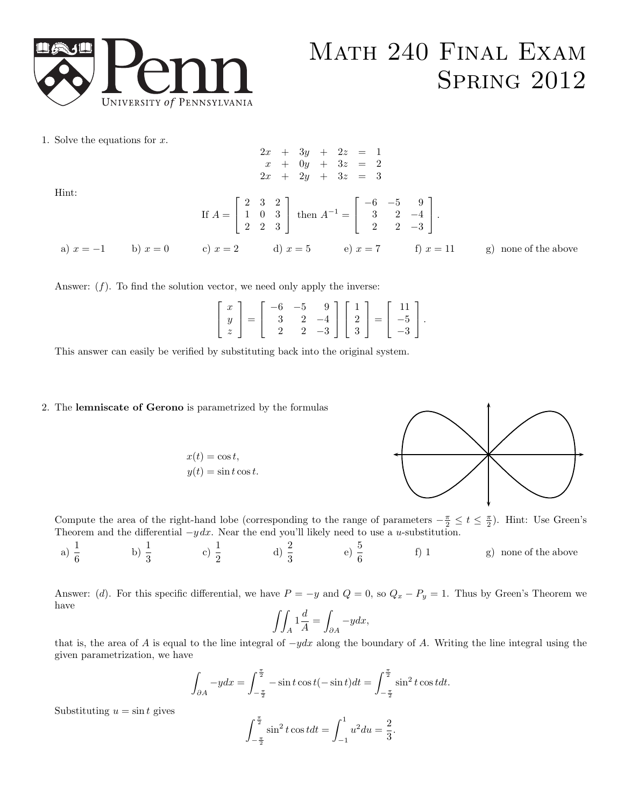

## Math 240 Final Exam **SPRING 2012**

1. Solve the equations for  $x$ .

$$
2x + 3y + 2z = 1
$$
  
\n
$$
x + 0y + 3z = 2
$$
  
\n
$$
2x + 2y + 3z = 3
$$
  
\nHint:  
\nIf  $A = \begin{bmatrix} 2 & 3 & 2 \\ 1 & 0 & 3 \\ 2 & 2 & 3 \end{bmatrix}$  then  $A^{-1} = \begin{bmatrix} -6 & -5 & 9 \\ 3 & 2 & -4 \\ 2 & 2 & -3 \end{bmatrix}$ .  
\na)  $x = -1$  b)  $x = 0$  c)  $x = 2$  d)  $x = 5$  e)  $x = 7$  f)  $x = 11$  g) none of the above

Answer:  $(f)$ . To find the solution vector, we need only apply the inverse:

|  |  |  |  | $\left[\begin{array}{c} x \\ y \\ z \end{array}\right] = \left[\begin{array}{rrr} -6 & -5 & 9 \\ 3 & 2 & -4 \\ 2 & 2 & -3 \end{array}\right] \left[\begin{array}{c} 1 \\ 2 \\ 3 \end{array}\right] = \left[\begin{array}{c} 11 \\ -5 \\ -3 \end{array}\right].$ |  |
|--|--|--|--|-----------------------------------------------------------------------------------------------------------------------------------------------------------------------------------------------------------------------------------------------------------------|--|

This answer can easily be verified by substituting back into the original system.

## 2. The lemniscate of Gerono is parametrized by the formulas

$$
x(t) = \cos t,
$$
  

$$
y(t) = \sin t \cos t.
$$



Compute the area of the right-hand lobe (corresponding to the range of parameters  $-\frac{\pi}{2} \le t \le \frac{\pi}{2}$ ). Hint: Use Green's Theorem and the differential  $-y dx$ . Near the end you'll likely need to use a u-substitution.

a) 
$$
\frac{1}{6}
$$
 b)  $\frac{1}{3}$  c)  $\frac{1}{2}$  d)  $\frac{2}{3}$  e)  $\frac{5}{6}$  f) 1 g) none of the above

Answer: (d). For this specific differential, we have  $P = -y$  and  $Q = 0$ , so  $Q_x - P_y = 1$ . Thus by Green's Theorem we have

$$
\iint_A 1 \frac{d}{A} = \int_{\partial A} -y dx,
$$

that is, the area of A is equal to the line integral of  $-ydx$  along the boundary of A. Writing the line integral using the given parametrization, we have

$$
\int_{\partial A} -ydx = \int_{-\frac{\pi}{2}}^{\frac{\pi}{2}} -\sin t \cos t (-\sin t)dt = \int_{-\frac{\pi}{2}}^{\frac{\pi}{2}} \sin^2 t \cos t dt.
$$

Substituting  $u = \sin t$  gives

$$
\int_{-\frac{\pi}{2}}^{\frac{\pi}{2}} \sin^2 t \cos t dt = \int_{-1}^{1} u^2 du = \frac{2}{3}.
$$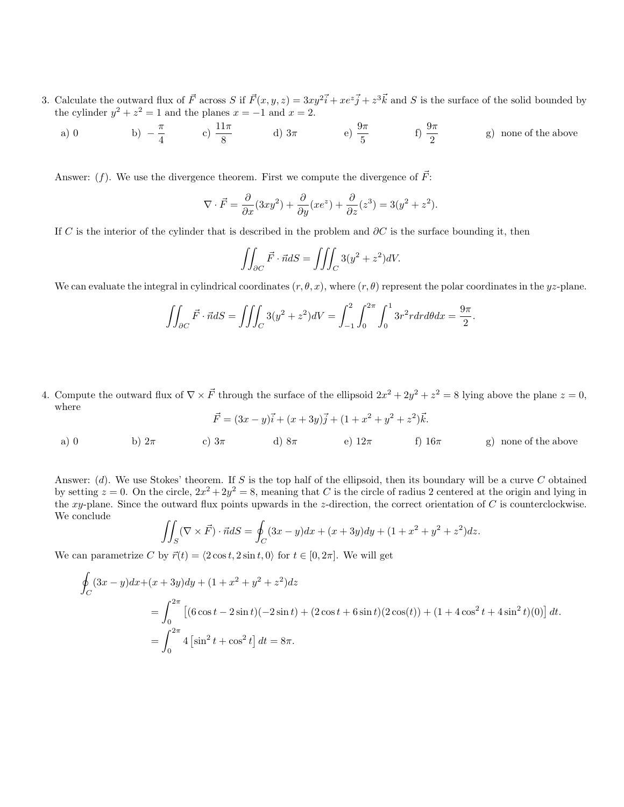- 3. Calculate the outward flux of  $\vec{F}$  across S if  $\vec{F}(x, y, z) = 3xy^2\vec{i} + xe^z\vec{j} + z^3\vec{k}$  and S is the surface of the solid bounded by the cylinder  $y^2 + z^2 = 1$  and the planes  $x = -1$  and  $x = 2$ .
	- a) 0 b)  $-\frac{\pi}{4}$  $\frac{\pi}{4}$  c)  $\frac{11\pi}{8}$  d)  $3\pi$  e)  $\frac{9\pi}{5}$  f)  $\frac{9\pi}{2}$  g) none of the above

Answer: (f). We use the divergence theorem. First we compute the divergence of  $\vec{F}$ :

$$
\nabla \cdot \vec{F} = \frac{\partial}{\partial x}(3xy^2) + \frac{\partial}{\partial y}(xe^z) + \frac{\partial}{\partial z}(z^3) = 3(y^2 + z^2).
$$

If C is the interior of the cylinder that is described in the problem and  $\partial C$  is the surface bounding it, then

$$
\iint_{\partial C} \vec{F} \cdot \vec{n} dS = \iiint_C 3(y^2 + z^2) dV.
$$

We can evaluate the integral in cylindrical coordinates  $(r, \theta, x)$ , where  $(r, \theta)$  represent the polar coordinates in the yz-plane.

$$
\iint_{\partial C} \vec{F} \cdot \vec{n} dS = \iiint_C 3(y^2 + z^2) dV = \int_{-1}^2 \int_0^{2\pi} \int_0^1 3r^2 r dr d\theta dx = \frac{9\pi}{2}
$$

.

4. Compute the outward flux of  $\nabla \times \vec{F}$  through the surface of the ellipsoid  $2x^2 + 2y^2 + z^2 = 8$  lying above the plane  $z = 0$ , where

a) 0 
$$
\vec{F} = (3x - y)\vec{i} + (x + 3y)\vec{j} + (1 + x^2 + y^2 + z^2)\vec{k}
$$
.  
\na) 0   
\nb)  $2\pi$    
\nc)  $3\pi$    
\nd)  $8\pi$    
\ne)  $12\pi$    
\nf)  $16\pi$    
\ng) none of the above

Answer:  $(d)$ . We use Stokes' theorem. If S is the top half of the ellipsoid, then its boundary will be a curve C obtained by setting  $z = 0$ . On the circle,  $2x^2 + 2y^2 = 8$ , meaning that C is the circle of radius 2 centered at the origin and lying in the xy-plane. Since the outward flux points upwards in the z-direction, the correct orientation of  $C$  is counterclockwise. We conclude

$$
\iint_S (\nabla \times \vec{F}) \cdot \vec{n} dS = \oint_C (3x - y) dx + (x + 3y) dy + (1 + x^2 + y^2 + z^2) dz.
$$

We can parametrize C by  $\vec{r}(t) = \langle 2 \cos t, 2 \sin t, 0 \rangle$  for  $t \in [0, 2\pi]$ . We will get

$$
\oint_C (3x - y)dx + (x + 3y)dy + (1 + x^2 + y^2 + z^2)dz
$$
\n
$$
= \int_0^{2\pi} \left[ (6\cos t - 2\sin t)(-2\sin t) + (2\cos t + 6\sin t)(2\cos(t)) + (1 + 4\cos^2 t + 4\sin^2 t)(0) \right] dt.
$$
\n
$$
= \int_0^{2\pi} 4\left[\sin^2 t + \cos^2 t\right] dt = 8\pi.
$$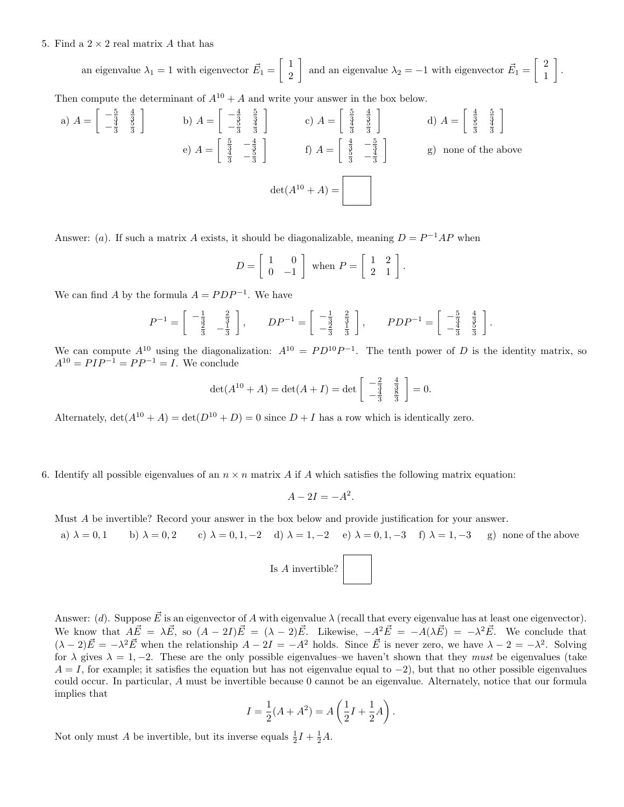## 5. Find a  $2 \times 2$  real matrix A that has

an eigenvalue  $\lambda_1 = 1$  with eigenvector  $\vec{E}_1 = \begin{bmatrix} 1 \\ 2 \end{bmatrix}$ 2 and an eigenvalue  $\lambda_2 = -1$  with eigenvector  $\vec{E}_1 = \begin{bmatrix} 2 \\ 1 \end{bmatrix}$ 1 .

Then compute the determinant of  $A^{10} + A$  and write your answer in the box below.

a) 
$$
A = \begin{bmatrix} -\frac{5}{3} & \frac{4}{3} \\ -\frac{4}{3} & \frac{3}{3} \end{bmatrix}
$$
 b)  $A = \begin{bmatrix} -\frac{4}{3} & \frac{5}{3} \\ -\frac{3}{3} & \frac{4}{3} \end{bmatrix}$  c)  $A = \begin{bmatrix} \frac{5}{3} & \frac{4}{3} \\ \frac{4}{3} & \frac{5}{3} \end{bmatrix}$  d)  $A = \begin{bmatrix} \frac{4}{3} & \frac{5}{3} \\ \frac{4}{3} & \frac{5}{3} \end{bmatrix}$   
e)  $A = \begin{bmatrix} \frac{5}{3} & -\frac{4}{3} \\ \frac{4}{3} & -\frac{5}{3} \end{bmatrix}$  f)  $A = \begin{bmatrix} \frac{4}{3} & -\frac{5}{3} \\ \frac{5}{3} & -\frac{4}{3} \end{bmatrix}$  g) none of the above  
det $(A^{10} + A) = \begin{bmatrix} \frac{4}{3} & \frac{5}{3} & \frac{4}{3} \\ \frac{1}{3} & -\frac{5}{3} & \frac{5}{3} \end{bmatrix}$ 

Answer: (*a*). If such a matrix A exists, it should be diagonalizable, meaning  $D = P^{-1}AP$  when

$$
D = \left[ \begin{array}{cc} 1 & 0 \\ 0 & -1 \end{array} \right]
$$
 when  $P = \left[ \begin{array}{cc} 1 & 2 \\ 2 & 1 \end{array} \right]$ .

We can find A by the formula  $A = PDP^{-1}$ . We have

$$
P^{-1} = \begin{bmatrix} -\frac{1}{3} & \frac{2}{3} \\ \frac{2}{3} & -\frac{1}{3} \end{bmatrix}, \qquad DP^{-1} = \begin{bmatrix} -\frac{1}{3} & \frac{2}{3} \\ -\frac{2}{3} & \frac{1}{3} \end{bmatrix}, \qquad PDP^{-1} = \begin{bmatrix} -\frac{5}{3} & \frac{4}{3} \\ -\frac{4}{3} & \frac{5}{3} \end{bmatrix}.
$$

We can compute  $A^{10}$  using the diagonalization:  $A^{10} = PD^{10}P^{-1}$ . The tenth power of D is the identity matrix, so  $A^{10} = P I P^{-1} = P P^{-1} = I$ . We conclude

$$
\det(A^{10} + A) = \det(A + I) = \det \begin{bmatrix} -\frac{2}{3} & \frac{4}{3} \\ -\frac{4}{3} & \frac{8}{3} \end{bmatrix} = 0.
$$

Alternately,  $\det(A^{10} + A) = \det(D^{10} + D) = 0$  since  $D + I$  has a row which is identically zero.

6. Identify all possible eigenvalues of an  $n \times n$  matrix A if A which satisfies the following matrix equation:

$$
A - 2I = -A^2.
$$

Must A be invertible? Record your answer in the box below and provide justification for your answer.

a)  $\lambda = 0, 1$  b)  $\lambda = 0, 2$  c)  $\lambda = 0, 1, -2$  d)  $\lambda = 1, -2$  e)  $\lambda = 0, 1, -3$  f)  $\lambda = 1, -3$  g) none of the above



Answer: (d). Suppose  $\vec{E}$  is an eigenvector of A with eigenvalue  $\lambda$  (recall that every eigenvalue has at least one eigenvector). We know that  $A\vec{E} = \lambda \vec{E}$ , so  $(A - 2I)\vec{E} = (\lambda - 2)\vec{E}$ . Likewise,  $-A^2\vec{E} = -A(\lambda \vec{E}) = -\lambda^2 \vec{E}$ . We conclude that  $(\lambda - 2)\vec{E} = -\lambda^2 \vec{E}$  when the relationship  $A - 2I = -A^2$  holds. Since  $\vec{E}$  is never zero, we have  $\lambda - 2 = -\lambda^2$ . Solving for  $\lambda$  gives  $\lambda = 1, -2$ . These are the only possible eigenvalues–we haven't shown that they *must* be eigenvalues (take  $A = I$ , for example; it satisfies the equation but has not eigenvalue equal to  $-2$ ), but that no other possible eigenvalues could occur. In particular, A must be invertible because 0 cannot be an eigenvalue. Alternately, notice that our formula implies that

$$
I = \frac{1}{2}(A + A^{2}) = A\left(\frac{1}{2}I + \frac{1}{2}A\right).
$$

Not only must A be invertible, but its inverse equals  $\frac{1}{2}I + \frac{1}{2}A$ .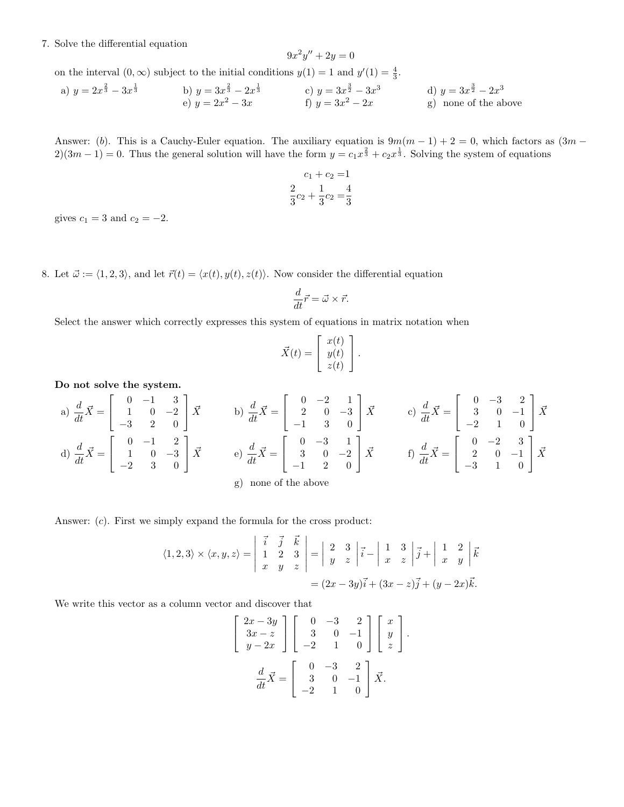## 7. Solve the differential equation

$$
9x^2y'' + 2y = 0
$$

on the interval  $(0, \infty)$  subject to the initial conditions  $y(1) = 1$  and  $y'(1) = \frac{4}{3}$ .

a) 
$$
y = 2x^{\frac{2}{3}} - 3x^{\frac{1}{3}}
$$
  
\nb)  $y = 3x^{\frac{2}{3}} - 2x^{\frac{1}{3}}$   
\nc)  $y = 3x^{\frac{3}{2}} - 3x^3$   
\nd)  $y = 3x^{\frac{3}{2}} - 2x^3$   
\ne)  $y = 2x^2 - 3x$   
\nf)  $y = 3x^2 - 2x$   
\ng) none of the above

Answer: (b). This is a Cauchy-Euler equation. The auxiliary equation is  $9m(m-1) + 2 = 0$ , which factors as  $(3m 2(3m-1) = 0$ . Thus the general solution will have the form  $y = c_1 x^{\frac{2}{3}} + c_2 x^{\frac{1}{3}}$ . Solving the system of equations

$$
c_1 + c_2 = 1
$$
  

$$
\frac{2}{3}c_2 + \frac{1}{3}c_2 = \frac{4}{3}
$$

gives  $c_1 = 3$  and  $c_2 = -2$ .

8. Let  $\vec{\omega} := \langle 1, 2, 3 \rangle$ , and let  $\vec{r}(t) = \langle x(t), y(t), z(t) \rangle$ . Now consider the differential equation

$$
\frac{d}{dt}\vec{r} = \vec{\omega} \times \vec{r}.
$$

Select the answer which correctly expresses this system of equations in matrix notation when

$$
\vec{X}(t) = \begin{bmatrix} x(t) \\ y(t) \\ z(t) \end{bmatrix}.
$$

Do not solve the system.

a) 
$$
\frac{d}{dt}\vec{X} = \begin{bmatrix} 0 & -1 & 3 \\ 1 & 0 & -2 \\ -3 & 2 & 0 \end{bmatrix} \vec{X}
$$
  
b)  $\frac{d}{dt}\vec{X} = \begin{bmatrix} 0 & -2 & 1 \\ 2 & 0 & -3 \\ -1 & 3 & 0 \end{bmatrix} \vec{X}$   
c)  $\frac{d}{dt}\vec{X} = \begin{bmatrix} 0 & -3 & 2 \\ 3 & 0 & -1 \\ -2 & 1 & 0 \end{bmatrix} \vec{X}$   
d)  $\frac{d}{dt}\vec{X} = \begin{bmatrix} 0 & -1 & 2 \\ 1 & 0 & -3 \\ -2 & 3 & 0 \end{bmatrix} \vec{X}$   
e)  $\frac{d}{dt}\vec{X} = \begin{bmatrix} 0 & -3 & 1 \\ 3 & 0 & -2 \\ -1 & 2 & 0 \end{bmatrix} \vec{X}$   
f)  $\frac{d}{dt}\vec{X} = \begin{bmatrix} 0 & -2 & 3 \\ 2 & 0 & -1 \\ -3 & 1 & 0 \end{bmatrix} \vec{X}$   
g) none of the above

Answer: (c). First we simply expand the formula for the cross product:

$$
\langle 1,2,3 \rangle \times \langle x,y,z \rangle = \begin{vmatrix} \vec{i} & \vec{j} & \vec{k} \\ 1 & 2 & 3 \\ x & y & z \end{vmatrix} = \begin{vmatrix} 2 & 3 \\ y & z \end{vmatrix} \vec{i} - \begin{vmatrix} 1 & 3 \\ x & z \end{vmatrix} \vec{j} + \begin{vmatrix} 1 & 2 \\ x & y \end{vmatrix} \vec{k}
$$

$$
= (2x - 3y)\vec{i} + (3x - z)\vec{j} + (y - 2x)\vec{k}.
$$

We write this vector as a column vector and discover that

$$
\begin{bmatrix} 2x - 3y \\ 3x - z \\ y - 2x \end{bmatrix} \begin{bmatrix} 0 & -3 & 2 \\ 3 & 0 & -1 \\ -2 & 1 & 0 \end{bmatrix} \begin{bmatrix} x \\ y \\ z \end{bmatrix}.
$$

$$
\frac{d}{dt} \vec{X} = \begin{bmatrix} 0 & -3 & 2 \\ 3 & 0 & -1 \\ -2 & 1 & 0 \end{bmatrix} \vec{X}.
$$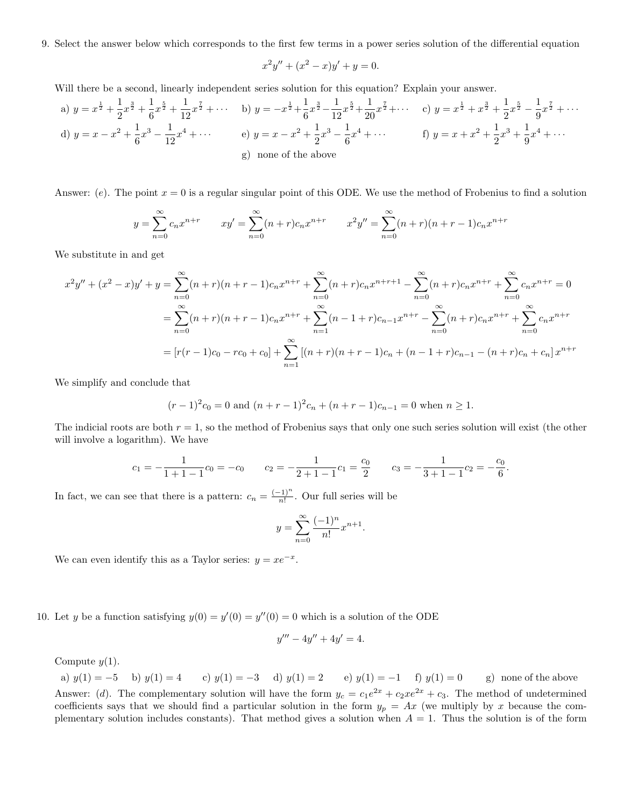9. Select the answer below which corresponds to the first few terms in a power series solution of the differential equation

$$
x^2y'' + (x^2 - x)y' + y = 0.
$$

Will there be a second, linearly independent series solution for this equation? Explain your answer.

a) 
$$
y = x^{\frac{1}{2}} + \frac{1}{2}x^{\frac{3}{2}} + \frac{1}{6}x^{\frac{5}{2}} + \frac{1}{12}x^{\frac{7}{2}} + \cdots
$$
 b)  $y = -x^{\frac{1}{2}} + \frac{1}{6}x^{\frac{3}{2}} - \frac{1}{12}x^{\frac{5}{2}} + \frac{1}{20}x^{\frac{7}{2}} + \cdots$  c)  $y = x^{\frac{1}{2}} + x^{\frac{3}{2}} + \frac{1}{2}x^{\frac{5}{2}} - \frac{1}{9}x^{\frac{7}{2}} + \cdots$   
d)  $y = x - x^2 + \frac{1}{6}x^3 - \frac{1}{12}x^4 + \cdots$  e)  $y = x - x^2 + \frac{1}{2}x^3 - \frac{1}{6}x^4 + \cdots$  f)  $y = x + x^2 + \frac{1}{2}x^3 + \frac{1}{9}x^4 + \cdots$   
g) none of the above

Answer: (e). The point  $x = 0$  is a regular singular point of this ODE. We use the method of Frobenius to find a solution

$$
y = \sum_{n=0}^{\infty} c_n x^{n+r} \qquad xy' = \sum_{n=0}^{\infty} (n+r)c_n x^{n+r} \qquad x^2 y'' = \sum_{n=0}^{\infty} (n+r)(n+r-1)c_n x^{n+r}
$$

We substitute in and get

$$
x^{2}y'' + (x^{2} - x)y' + y = \sum_{n=0}^{\infty} (n+r)(n+r-1)c_{n}x^{n+r} + \sum_{n=0}^{\infty} (n+r)c_{n}x^{n+r+1} - \sum_{n=0}^{\infty} (n+r)c_{n}x^{n+r} + \sum_{n=0}^{\infty} c_{n}x^{n+r} = 0
$$
  

$$
= \sum_{n=0}^{\infty} (n+r)(n+r-1)c_{n}x^{n+r} + \sum_{n=1}^{\infty} (n-1+r)c_{n-1}x^{n+r} - \sum_{n=0}^{\infty} (n+r)c_{n}x^{n+r} + \sum_{n=0}^{\infty} c_{n}x^{n+r}
$$
  

$$
= [r(r-1)c_{0} - rc_{0} + c_{0}] + \sum_{n=1}^{\infty} [(n+r)(n+r-1)c_{n} + (n-1+r)c_{n-1} - (n+r)c_{n} + c_{n}]x^{n+r}
$$

We simplify and conclude that

$$
(r-1)^2c_0 = 0
$$
 and  $(n+r-1)^2c_n + (n+r-1)c_{n-1} = 0$  when  $n \ge 1$ .

The indicial roots are both  $r = 1$ , so the method of Frobenius says that only one such series solution will exist (the other will involve a logarithm). We have

$$
c_1 = -\frac{1}{1+1-1}c_0 = -c_0
$$
  $c_2 = -\frac{1}{2+1-1}c_1 = \frac{c_0}{2}$   $c_3 = -\frac{1}{3+1-1}c_2 = -\frac{c_0}{6}$ .

In fact, we can see that there is a pattern:  $c_n = \frac{(-1)^n}{n!}$  $\frac{(-1)}{n!}$ . Our full series will be

$$
y = \sum_{n=0}^{\infty} \frac{(-1)^n}{n!} x^{n+1}.
$$

We can even identify this as a Taylor series:  $y = xe^{-x}$ .

10. Let y be a function satisfying  $y(0) = y'(0) = y''(0) = 0$  which is a solution of the ODE

$$
y''' - 4y'' + 4y' = 4.
$$

Compute  $y(1)$ .

a)  $y(1) = -5$  b)  $y(1) = 4$  c)  $y(1) = -3$  d)  $y(1) = 2$  e)  $y(1) = -1$  f)  $y(1) = 0$  g) none of the above Answer: (d). The complementary solution will have the form  $y_c = c_1e^{2x} + c_2xe^{2x} + c_3$ . The method of undetermined coefficients says that we should find a particular solution in the form  $y_p = Ax$  (we multiply by x because the complementary solution includes constants). That method gives a solution when  $A = 1$ . Thus the solution is of the form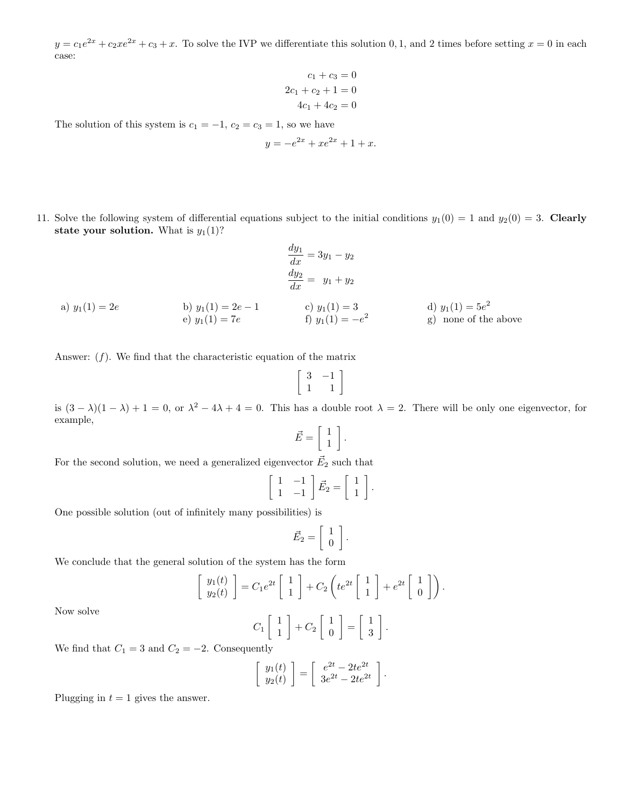$y = c_1e^{2x} + c_2xe^{2x} + c_3 + x$ . To solve the IVP we differentiate this solution 0, 1, and 2 times before setting  $x = 0$  in each case:

$$
c_1 + c_3 = 0
$$

$$
2c_1 + c_2 + 1 = 0
$$

$$
4c_1 + 4c_2 = 0
$$

The solution of this system is  $c_1 = -1$ ,  $c_2 = c_3 = 1$ , so we have

$$
y = -e^{2x} + xe^{2x} + 1 + x.
$$

11. Solve the following system of differential equations subject to the initial conditions  $y_1(0) = 1$  and  $y_2(0) = 3$ . Clearly state your solution. What is  $y_1(1)$ ?

 $\frac{dy_1}{dx} = 3y_1 - y_2$ 

a) 
$$
y_1(1) = 2e
$$
  
\nb)  $y_1(1) = 2e - 1$   
\nc)  $y_1(1) = 3$   
\ne)  $y_1(1) = 7e$   
\nb)  $y_1(1) = 2e - 1$   
\nc)  $y_1(1) = 3$   
\nd)  $y_1(1) = 5e^2$   
\ng) none of the above

Answer:  $(f)$ . We find that the characteristic equation of the matrix

$$
\left[\begin{array}{cc}3 & -1 \\1 & 1\end{array}\right]
$$

is  $(3 - \lambda)(1 - \lambda) + 1 = 0$ , or  $\lambda^2 - 4\lambda + 4 = 0$ . This has a double root  $\lambda = 2$ . There will be only one eigenvector, for example,

$$
\vec{E} = \left[ \begin{array}{c} 1 \\ 1 \end{array} \right].
$$

For the second solution, we need a generalized eigenvector  $\vec{E_2}$  such that

$$
\left[\begin{array}{cc} 1 & -1 \\ 1 & -1 \end{array}\right] \vec{E}_2 = \left[\begin{array}{c} 1 \\ 1 \end{array}\right].
$$

One possible solution (out of infinitely many possibilities) is

$$
\vec{E}_2 = \left[ \begin{array}{c} 1 \\ 0 \end{array} \right].
$$

We conclude that the general solution of the system has the form

$$
\left[\begin{array}{c}y_1(t) \\ y_2(t)\end{array}\right] = C_1 e^{2t} \left[\begin{array}{c}1 \\ 1\end{array}\right] + C_2 \left(te^{2t} \left[\begin{array}{c}1 \\ 1\end{array}\right] + e^{2t} \left[\begin{array}{c}1 \\ 0\end{array}\right]\right).
$$

Now solve

$$
C_1 \left[ \begin{array}{c} 1 \\ 1 \end{array} \right] + C_2 \left[ \begin{array}{c} 1 \\ 0 \end{array} \right] = \left[ \begin{array}{c} 1 \\ 3 \end{array} \right].
$$

We find that  $C_1 = 3$  and  $C_2 = -2$ . Consequently

$$
\left[\begin{array}{c}y_1(t)\\y_2(t)\end{array}\right] = \left[\begin{array}{c}e^{2t}-2te^{2t}\\3e^{2t}-2te^{2t}\end{array}\right].
$$

Plugging in  $t = 1$  gives the answer.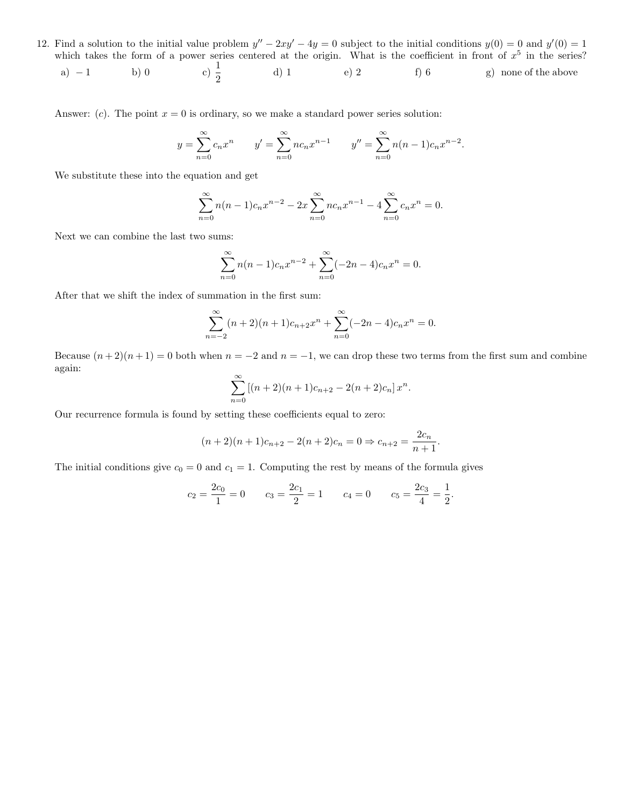- 12. Find a solution to the initial value problem  $y'' 2xy' 4y = 0$  subject to the initial conditions  $y(0) = 0$  and  $y'(0) = 1$ which takes the form of a power series centered at the origin. What is the coefficient in front of  $x^5$  in the series?
	- a) − 1 b) 0 c)  $\frac{1}{2}$ d) 1 e) 2 f) 6 g) none of the above

Answer: (c). The point  $x = 0$  is ordinary, so we make a standard power series solution:

$$
y = \sum_{n=0}^{\infty} c_n x^n
$$
  $y' = \sum_{n=0}^{\infty} n c_n x^{n-1}$   $y'' = \sum_{n=0}^{\infty} n(n-1)c_n x^{n-2}.$ 

We substitute these into the equation and get

$$
\sum_{n=0}^{\infty} n(n-1)c_n x^{n-2} - 2x \sum_{n=0}^{\infty} n c_n x^{n-1} - 4 \sum_{n=0}^{\infty} c_n x^n = 0.
$$

Next we can combine the last two sums:

$$
\sum_{n=0}^{\infty} n(n-1)c_n x^{n-2} + \sum_{n=0}^{\infty} (-2n-4)c_n x^n = 0.
$$

After that we shift the index of summation in the first sum:

$$
\sum_{n=-2}^{\infty} (n+2)(n+1)c_{n+2}x^n + \sum_{n=0}^{\infty} (-2n-4)c_nx^n = 0.
$$

Because  $(n+2)(n+1) = 0$  both when  $n = -2$  and  $n = -1$ , we can drop these two terms from the first sum and combine again:

$$
\sum_{n=0}^{\infty} [(n+2)(n+1)c_{n+2} - 2(n+2)c_n] x^n.
$$

Our recurrence formula is found by setting these coefficients equal to zero:

$$
(n+2)(n+1)c_{n+2} - 2(n+2)c_n = 0 \Rightarrow c_{n+2} = \frac{2c_n}{n+1}.
$$

The initial conditions give  $c_0 = 0$  and  $c_1 = 1$ . Computing the rest by means of the formula gives

$$
c_2 = \frac{2c_0}{1} = 0
$$
  $c_3 = \frac{2c_1}{2} = 1$   $c_4 = 0$   $c_5 = \frac{2c_3}{4} = \frac{1}{2}$ .